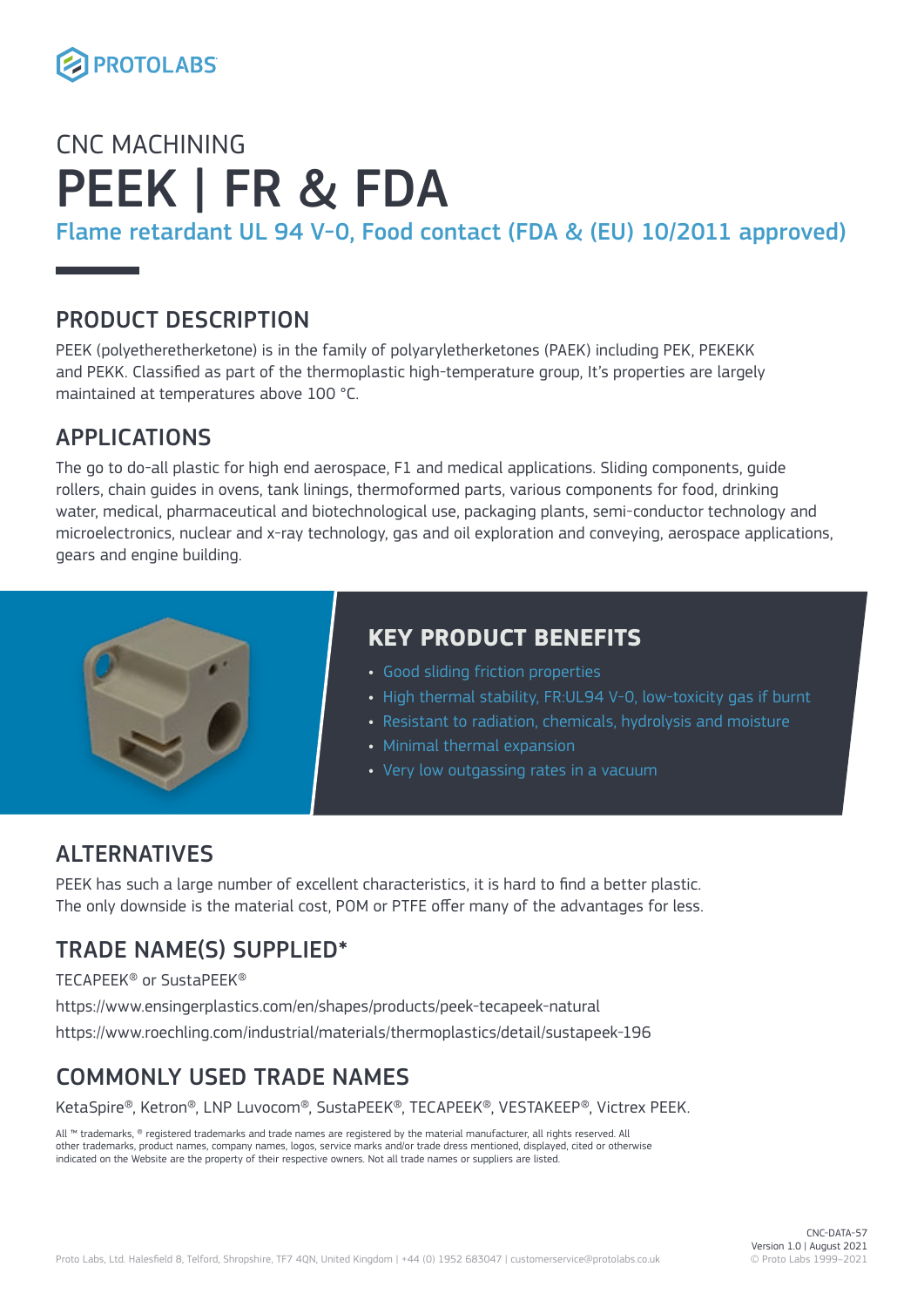

## CNC MACHINING PEEK | FR & FDA

Flame retardant UL 94 V-0, Food contact (FDA & (EU) 10/2011 approved)

### PRODUCT DESCRIPTION

PEEK (polyetheretherketone) is in the family of polyaryletherketones (PAEK) including PEK, PEKEKK and PEKK. Classified as part of the thermoplastic high-temperature group, It's properties are largely maintained at temperatures above 100 °C.

#### APPLICATIONS

The go to do-all plastic for high end aerospace, F1 and medical applications. Sliding components, guide rollers, chain guides in ovens, tank linings, thermoformed parts, various components for food, drinking water, medical, pharmaceutical and biotechnological use, packaging plants, semi-conductor technology and microelectronics, nuclear and x-ray technology, gas and oil exploration and conveying, aerospace applications, gears and engine building.



### **KEY PRODUCT BENEFITS**

- Good sliding friction properties
- High thermal stability, FR:UL94 V-0, low-toxicity gas if burnt
- Resistant to radiation, chemicals, hydrolysis and moisture
- Minimal thermal expansion
- Very low outgassing rates in a vacuum

### ALTERNATIVES

PEEK has such a large number of excellent characteristics, it is hard to find a better plastic. The only downside is the material cost, POM or PTFE offer many of the advantages for less.

## TRADE NAME(S) SUPPLIED\*

TECAPEEK® or SustaPEEK®

https://www.ensingerplastics.com/en/shapes/products/peek-tecapeek-natural

https://www.roechling.com/industrial/materials/thermoplastics/detail/sustapeek-196

## COMMONLY USED TRADE NAMES

KetaSpire®, Ketron®, LNP Luvocom®, SustaPEEK®, TECAPEEK®, VESTAKEEP®, Victrex PEEK.

All ™ trademarks, ® registered trademarks and trade names are registered by the material manufacturer, all rights reserved. All other trademarks, product names, company names, logos, service marks and/or trade dress mentioned, displayed, cited or otherwise indicated on the Website are the property of their respective owners. Not all trade names or suppliers are listed.